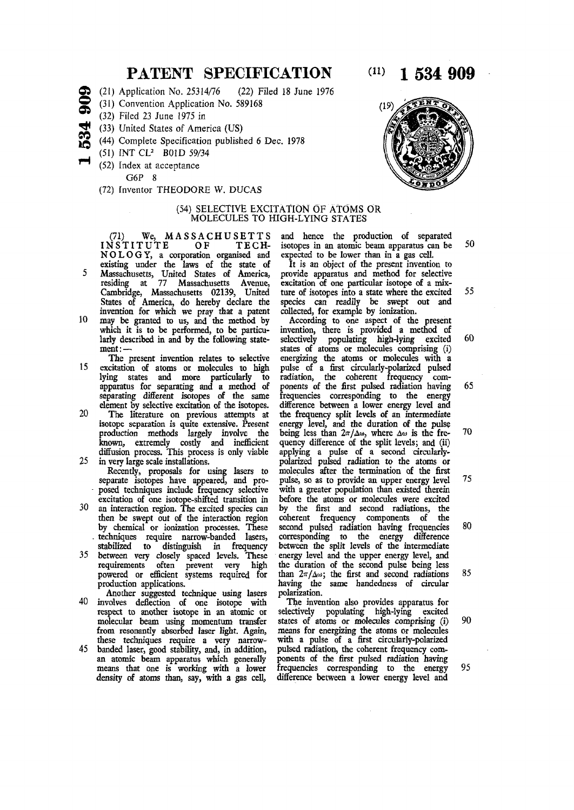## **PATENT SPECIFICATION**

- *<sup>a</sup>***©**  (21) Application No. 25314/76 (22) Filed 18 June 1976
	- (31) Convention Application No. 589168
- **c s**  (32) Filed 23 June 1975 in
	- (33) United States of America (US)
- **M5**  (44) Complete Specification published 6 Dec. 1978
	- (51) INT CL<sup>2</sup> B01D 59/34
		- (52) Index at acceptance

G6P 8

(72) Inventor THEODORE W. DUCAS

### (54) SELECTIVE EXCITATION OF ATOMS OR MOLECULES TO HIGH-LYING STATES

(71) We, MASSACHUSETTS<br>NSTITUTE OF TECH-INSTITUTE NOLOGY, a corporation organised and

- existing under the laws of the state of 5 Massachusetts, United States of America, residing at 77 Massachusetts Avenue, Cambridge, Massachusetts 02139, United States of America, do hereby declare the invention for which we pray that a patent
- 10 may be granted to us, and the method by which it is to be performed, to be particularly described in and by the following statement : —
- The present invention relates to selective 15 excitation of atoms or molecules to high lying states and more particularly to apparatus for separating and a method of separating different isotopes of the same element by selective excitation of the isotopes.
- 20 The literature on previous attempts at isotope separation is quite extensive. Present production methods largely involve the known, extremely costly and inefficient diffusion process. This process is only viable 25 in very large scale installations.
	- Recently, proposals for using lasers to separate isotopes have appeared, and proposed techniques include frequency selective excitation of one isotope-shifted transition in
- 30 an interaction region. The excited species can then be swept out of the interaction region by chemical or ionization processes. These . techniques require narrow-banded lasers, stabilized to distinguish in frequency
- 35 between very closely spaced levels. These requirements often prevent very high powered or efficient systems required for production applications.
- Another suggested technique using lasers 40 involves deflection of one isotope with respect to another isotope in an atomic or molecular beam using momentum transfer from resonantly absorbed laser tight. Again, these techniques require a very narrow-
- 45 banded laser, good stability, and, in addition, an atomic beam apparatus which generally means that one is working with a lower density of atoms than, say, with a gas cell,

and hence the production of separated isotopes in an atomic beam apparatus can be 50 expected to be lower than in a gas cell.

It is an object of the present invention to provide apparatus and method for selective excitation of one particular isotope of a mixture of isotopes into a state where the excited 55 species can readily be swept out and collected, for example by ionization.

According to one aspect of the present invention, there is provided a method of selectively populating high-lying excited 60 states of atoms or molecules comprising (i) energizing the atoms or molecules with a pulse of a first circularly-polarized pulsed radiation, the coherent frequency components of the first pulsed radiation having 65 frequencies corresponding to the energy difference between a lower energy level and the frequency split levels of an intermediate energy level, and the duration of the pulse being less than  $2\pi/\Delta\omega$ , where  $\Delta\omega$  is the fre- 70 quency difference of the split levels; and (ii) applying a pulse of a second circularlypolarized pulsed radiation to the atoms or molecules after the termination of the first pulse, so as to provide an upper energy level 75 with a greater population than existed therein before the atoms or molecules were excited by the first and second radiations, the coherent frequency components of the second pulsed radiation having frequencies 80 corresponding to the energy difference between the split levels of the intermediate energy level and the upper energy level, and the duration of the second pulse being less than  $2\pi/\Delta\omega$ ; the first and second radiations 85 having the same handedness of circular polarization.

The invention also provides apparatus for selectively populating high-lying excited states of atoms or molecules comprising (i) 90 means for energizing the atoms or molecules with a pulse of a first circularly-polarized pulsed radiation, the coherent frequency components of the first pulsed radiation having frequencies corresponding to the energy 95 difference between a lower energy level and



**0 0**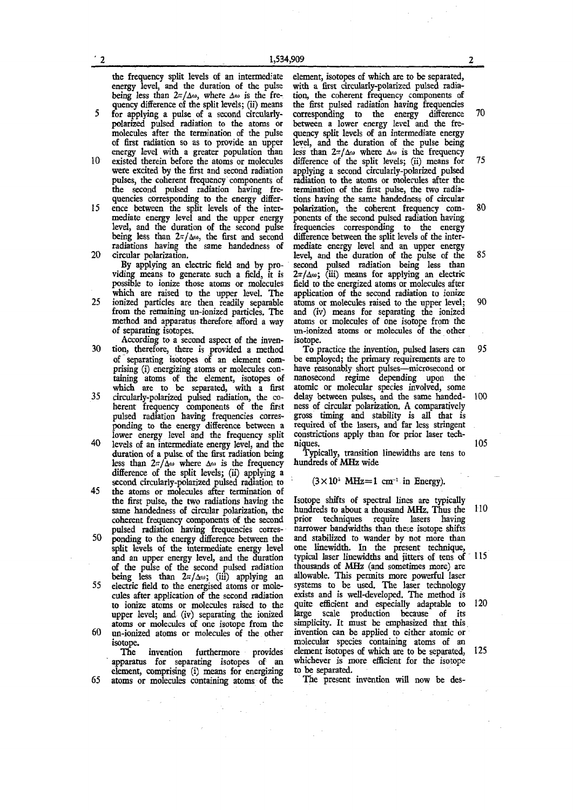the frequency split levels of an intermediate element, isotopes of which are to be separated, energy level, and the duration of the pulse with a first circularly-polarized pulsed radiaenergy level, and the duration of the pulse<br>being less than  $2\pi/\Delta\omega$ , where  $\Delta\omega$  is the frebeing less than  $2\pi/\Delta\omega$ , where  $\Delta\omega$  is the fre- tion, the coherent frequency components of quency difference of the split levels; (ii) means the first pulsed radiation having frequencies

- polarized pulsed radiation to the atoms or molecules after the termination of the pulse polarized pulsed radiation to the atoms or between a lower energy level and the fre-<br>molecules after the termination of the pulse quency split levels of an intermediate energy<br>of first radiation so as to provide an upper l
- energy level with a greater population than existed therein before the atoms or molecules 10 existed therein before the atoms or molecules difference of the split levels; (ii) means for 75 were excited by the first and second radiation applying a second circularly-polarized pulsed were excited by the first and second radiation applying a second circularly-polarized pulsed pulses, the coherent frequency components of radiation to the atoms or molecules after the pulses, the coherent frequency components of radiation to the atoms or molecules after the the second pulsed radiation having fre- termination of the first pulse, the two radia-<br>quencies corresponding to the energy differ- tions having the same handedness of circular
- mediate energy level and the upper energy ponents of the second pulsed radiation having<br>level, and the duration of the second pulse frequencies corresponding to the energy being less than  $2\pi/\Delta\omega$ , the first and second radiations having the same handedness of
- viding means to generate such a field, it is  $2\pi/\Delta\omega$ ; (iii) means for applying an electric possible to ionize those atoms or molecules field to the energized atoms or molecules after 25 ionized particles are then readily separable atoms or molecules raised to the upper level; 90 from the remaining un-ionized particles. The and (iv) means for separating the ionized
- According to a second aspect of the inven-30 tion, therefore, there is provided a method To practice the invention, pulsed lasers can 95
- of separating isotopes of an element comprising (i) energizing atoms or molecules con-<br>tauns atoms of the element, isotopes of nanosecond regime depending upon the<br>which are to be separated, with a first atomic or molecular species involved, some<br>which taining atoms of the element, isotopes of nanosecond regime depending upon the which are to be separated, with a first atomic or molecular species involved, some
- herent frequency components of the first<br>pulsed radiation having frequencies corresponding to the energy difference between a pulsed radiation having frequencies corres- gross timing and stability is all that is ponding to the energy difference between a required of the lasers, and far less stringent
- 40 levels of an intermediate energy level, and the niques. 105 duration of a pulse of the first radiation being Typically, transition linewidths are tens to duration of a pulse of the first radiation being Typically, transition less than  $2\pi/\Delta\omega$  where  $\Delta\omega$  is the frequency hundreds of MHz wide less than  $2\pi/\Delta\omega$  where  $\Delta\omega$  is the frequency difference of the split levels; (ii) applying a second circularly-polarized pulsed radiation to
- 45 the atoms or molecules after termination of the first pulse, the two radiations having the Isotope shifts of spectral lines are typically same handedness of circular polarization, the hundreds to about a thousand MHz. Thus the coherent frequency components of the second prior techniques require lasers having pulsed radiation having frequencies corres- narrower bandwidths than these isotope shifts pulsed radiation having frequencies corres- narrower bandwidths than these isotope shifts
- split levels of the intermediate energy level one linewidth. In the present technique, and an upper energy level, and the duration typical laser linewidths and jitters of tens of of the pulse of the second pulsed radiation thousands of MHz (and sometimes more) are being less than  $2\pi/\Delta\omega$ ; (iii) applying an allowable. This permits more powerful laser
- cules after application of the second radiation exists and is well-developed. The method is upper level; and (iv) separating the ionized large scale production because of its atoms or molecules of one isotope from the simplicity. It must be emphasized that this atoms or molecules of one isotope from the simplicity. It must be emphasized that this un-ionized atoms or molecules of the other invention can be applied to either atomic or 60 un-ionized atoms or molecules of the other

apparatus for separating isotopes of an whichever is n<br>element comprising  $(i)$  means for energizing to be separated. element, comprising (i) means for energizing to be separated.<br>atoms or molecules containing atoms of the The present invention will now be des-65 atoms or molecules containing atoms of the

the first pulsed radiation having frequencies corresponding to the energy difference for applying a pulse of a second circularly- corresponding to the energy difference 70 level, and the duration of the pulse being<br>less than  $2\pi/\Delta\omega$  where  $\Delta\omega$  is the frequency tions having the same handedness of circular<br>polarization, the coherent frequency com-15 ence between the split levels of the inter- polarization, the coherent frequency com- 80 frequencies corresponding to the energy difference between the split levels of the interradiations having the same handedness of mediate energy level and an upper energy circular polarization. 20 circular polarization. level, and the duration of the pulse of the 85 By applying an electric field and by pro-second pulsed radiation being less than viding means to generate such a field, it is  $2\pi/\Delta\omega$ ; (iii) means By applying an electric field and by pro- second pulsed radiation being less than application of the second radiation to ionize<br>atoms or molecules raised to the upper level: from the remaining un-ionized particles. The and (iv) means for separating the ionized method and apparatus therefore afford a way atoms or molecules of one isotope from the method and apparatus therefore afford a way atoms or molecules of one isotope from the of separating isotopes. un-ionized atoms or molecules of the other isotope.

be employed; the primary requirements are to 35 circularly-polarized pulsed radiation, the co- delay between pulses, and the same handed- 100 lower energy level and the frequency split constrictions apply than for prior laser tech-<br>levels of an intermediate energy level, and the niques.

#### $(3 \times 10^4 \text{ MHz} = 1 \text{ cm}^{-1} \text{ in Energy}).$

hundreds to about a thousand MHz. Thus the 110 prior techniques require lasers having 50 ponding to the energy difference between the and stabilized to wander by not more than and an upper energy level, and the duration typical laser linewidths and jitters of tens of 115 of the pulse of the second pulsed radiation thousands of MHz (and sometimes more) are 55 electric field to the energised atoms or mole- systems to be used. The laser technology to ionize atoms or molecules raised to the quite efficient and especially adaptable to 120 isotope. molecular species containing atoms of an intermediate intermediate species containing atoms of an The invention furthermore provides element isotopes of which are to be separated, The invention furthermore provides element isotopes of which are to be separated, 125 paratus for separating isotopes of an whichever is more efficient for the isotope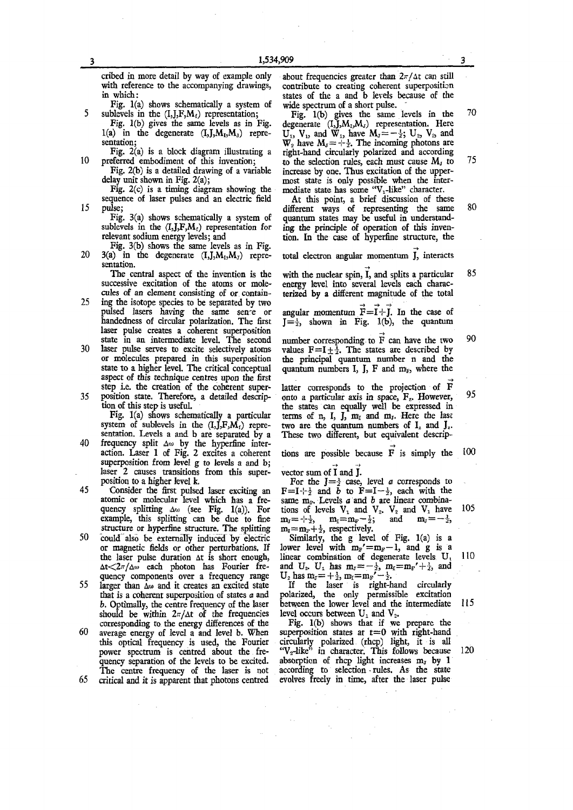cribed in more detail by way of example only about frequencies greater than  $2\pi/\Delta t$  can still with reference to the accompanying drawings, contribute to creating coherent superposition

Fig. 1(a) shows schematically a system of sublevels in the  $(I, J, F, M_t)$  representation;

1(a) in the degenerate  $(I, J, M_1, M_3)$  repre-  $U_1, V_1,$  and  $W_1$ , have  $M_1 = -\frac{1}{2}$ ;  $U_2, V_2$  and

Fig.  $2(c)$  is a timing diagram showing the mediate state has some "V<sub>1</sub>-like" character.<br>quence of laser pulses and an electric field At this point, a brief discussion of these sequence of laser pulses and an electric field pulse;

Fig. 3(a) shows schematically a system of quantum states may be useful in understand-<br>sublevels in the  $(I_1, J_2, M_1)$  representation for ing the principle of operation of this inven-

Fig. 3(b) shows the same levels as in Fig. 3(a) in the degenerate  $(I_1, J_2, M_1, M_2)$  repre-20 3(a) in the degenerate  $(I,J,M_1,M_J)$  repre- total electron angular momentum J, interacts sentation.

- 25 ing the isotope species to be separated by two<br>pulsed lasers having the same sence or pulsed lasers having the same sence or angular momentum  $\vec{F} = \vec{l} + \vec{j}$ . In the case of handedness of circular polarization. The first  $\vec{l} = \frac{1}{2}$ , shown in Fig. 1(b), the quantum laser pulse creates a coherent superposition state in an intermediate level. The second
- 30 laser pulse serves to excite selectively atoms or molecules prepared in this superposition the principal quantum number n and the state to a higher level. The critical conceptual aspect of this technique centres upon the first step i.e. the creation of the coherent super-
- 

40 frequency split  $\Delta \omega$  by the hyperfine intersuperposition from level g to levels a and b;<br>laser 2 causes transitions from this super-vector sum of  $\vec{l}$  and  $\vec{j}$ . laser 2 causes transitions from this super-<br>position to a higher level k.

quency splitting  $\Delta\omega$  (see Fig. 1(a)). For example, this splitting can be due to fine  $m_{\text{J}} = -\frac{1}{2}$ ,  $m_{\text{I}} = m_{\text{F}} - \frac{1}{2}$ ; and  $m_{\text{J}} = -\frac{1}{2}$ , structure or hyperfine structure. The splitting  $m_{\text{I}} = m_{\text{F}} + \frac{1}{2}$ , respectively.

structure or hyperfine structure. The splitting  $m_1 = m_F + \frac{1}{2}$ , respectively.<br>could also be externally induced by electric Similarly, the g level of Fig. 1(a) is a 50 could also be externally induced by electric Similarly, the g level of Fig. 1(a) is a or magnetic fields or other perturbations. If lower level with  $m_F = m_F - 1$ , and g is a or magnetic fields or other perturbations. If the laser pulse duration  $\Delta t$  is short enough,  $\Delta t < 2\pi/\Delta \omega$  each photon has Fourier fre-

quency components over a frequency range larger than  $\Delta \omega$  and it creates an excited state 55 larger than  $\Delta\omega$  and it creates an excited state If the laser is right-hand circularly that is a coherent superposition of states a and polarized, the only permissible excitation should be within  $2\pi/\Delta t$  of the frequencies level occurs between  $U_1$  and  $V_2$ .<br>corresponding to the energy differences of the Fig. 1(b) shows that if we prepare the

60 average energy of level a and level b. When quency separation of the levels to be excited, absorption of rhcp light increases  $m<sub>r</sub>$  by 1<br>The centre frequency of the laser is not according to selection rules. As the state  $65$  critical and it is apparent that photons centred

 $\mathbb{R}^2$ 

with reference to the accompanying drawings, contribute to creating coherent superposition<br>in which:<br>states of the a and b levels because of the states of the a and b levels because of the wide spectrum of a short pulse.

5 sublevels in the  $(I,J,F,M_f)$  representation; Fig. 1(b) gives the same levels in the  $70$ Fig. 1(b) gives the same levels as in Fig. degenerate  $(I_1, J_1, M_1, M_2)$  representation. Here sentation;<br>Fig. 2(a) is a block diagram illustrating a right-hand circularly polarized and according Fig. 2(a) is a block diagram illustrating a right-hand circularly polarized and according preferred embodiment of this invention; to the selection rules, each must cause  $M<sub>J</sub>$  to 10 preferred embodiment of this invention; to the selection rules, each must cause  $M_i$  to  $75$ <br>Fig. 2(b) is a detailed drawing of a variable increase by one. Thus excitation of the upperincrease by one. Thus excitation of the upperdelay unit shown in Fig.  $2(a)$ ; most state is only possible when the inter-<br>Fig.  $2(c)$  is a timing diagram showing the mediate state has some " $V_1$ -like" character.

15 pulse; different ways of representing the same 80 sublevels in the  $(I, J, F, M_t)$  representation for ing the principle of operation of this inven-<br>relevant sodium energy levels; and tion. In the case of hyperfine structure, the tion. In the case of hyperfine structure, the

The central aspect of the invention is the with the nuclear spin, I, and splits a particular 85 successive excitation of the atoms or mole-<br>energy level into several levels each characsuccessive excitation of the atoms or mole- energy level into several levels each charac-<br>cules of an element consisting of or contain- terized by a different magnitude of the total terized by a different magnitude of the total

 $J = \frac{1}{2}$ , shown in Fig. 1(b), the quantum

number corresponding to F can have the two 90<br>values  $F=I \pm \frac{1}{2}$ . The states are described by quantum numbers I, J, F and  $m<sub>F</sub>$ , where the

latter corresponds to the projection of F 35 position state. Therefore, a detailed descrip- onto a particular axis in space,  $F_x$ . However, 95 tion of this step is useful.<br>the states can equally well be expressed in on of this step is useful. the states can equally well be expressed in Fig. 1(a) shows schematically a particular terms of n, I, J,  $m_T$  and  $m_T$ . Here the last Fig. 1(a) shows schematically a particular terms of n, I, J,  $m_i$  and  $m_j$ . Here the last system of sublevels in the  $(I, J, F, M_i)$  repre- two are the quantum numbers of I<sub>z</sub> and J<sub>z</sub>. system of sublevels in the  $(I, \tilde{J}, F, \tilde{M}_f)$  repre- two are the quantum numbers of  $I_z$  and  $J_z$ .<br>sentation. Levels a and b are separated by a These two different, but equivalent descrip-These two different, but equivalent descrip-

action. Laser 1 of Fig. 2 excites a coherent tions are possible because F is simply the  $100$ 

position to a higher level k.<br>
For the  $J=\frac{1}{2}$  case, level a corresponds to<br>
Consider the first pulsed laser exciting an  $F=I-\frac{1}{2}$  and b to  $F=I-\frac{1}{2}$ , each with the 45 Consider the first pulsed laser exciting an  $F=I^{-1}\frac{1}{2}$  and  $\overline{b}$  to  $F=I-\frac{1}{2}$ , each with the atomic or molecular level which has a fre-<br>same m<sub>r</sub>. Levels a and b are linear combinasame m<sub>P</sub>. Levels a and b are linear combinations of levels  $V_1$  and  $V_2$ .  $V_2$  and  $V_1$  have 105

the laser pulse duration  $\Delta t$  is short enough, linear combination of degenerate levels  $U_1$ , 110 t has  $m_{J} = -\frac{1}{2}$ ,  $m_{I} = m_{I'} + \frac{1}{2}$ , and

*b.* Optimally, the centre frequency of the laser between the lower level and the intermediate 115 should be within  $2\pi/\Delta t$  of the frequencies level occurs between U<sub>1</sub> and V<sub>2</sub>.

corresponding to the energy differences of the Fig.  $1(b)$  shows that if we prepare the average energy of level a and level b. When superposition states at  $t=0$  with right-hand this optical frequency is used, the Fourier circularly polarized (rhcp) light, it is all power spectrum is centred about the fre- " $V_2$ -like" in character. This follows because power spectrum is centred about the fre- " $V_2$ -like" in character. This follows because 120 quency separation of the levels to be excited. absorption of rhcp light increases  $m<sub>x</sub>$  by 1 The centre frequency of the laser is not according to selection rules. As the state<br>critical and it is apparent that photons centred evolves freely in time, after the laser pulse

 $\sim$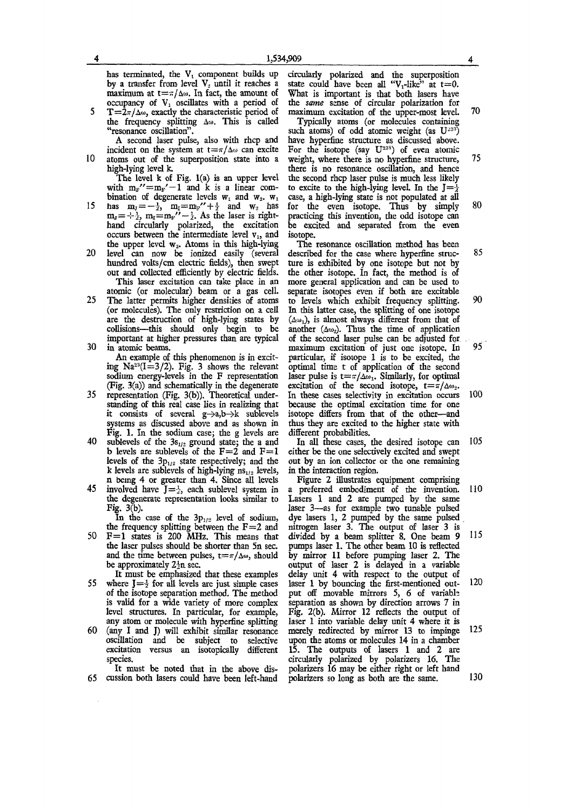has terminated, the  $V_1$  component builds up by a transfer from level  $V<sub>2</sub>$  until it reaches a maximum at  $t = \pi/\Delta\omega$ . In fact, the amount of occupancy of  $V_1$  oscillates with a period of

5  $T = \frac{2\pi}{\Delta w}$ , exactly the characteristic period of the frequency splitting  $\Delta\omega$ . This is called "resonance oscillation".

A second laser pulse, also with rhcp and incident on the system at  $t = \pi/\Delta\omega$  can excite 10 atoms out of the superposition state into a

high-lying level k. The level k of Fig. 1(a) is an upper level with  $m_{F}$ "  $=m_{F}$ "  $-1$  and k is a linear combination of degenerate levels  $w_1$  and  $w_2$ .  $w_1$ 15 has  $m_{J}=-\frac{1}{2}$ ,  $m_{I}=m_{F}''+\frac{1}{2}$  and  $w_{2}$  has

 $m_{J} = +\frac{1}{2}$ ,  $m_{I} = m_{F}'' - \frac{1}{2}$ . As the laser is righthand circularly polarized, the excitation occurs between the intermediate level  $v_1$ , and the upper level  $w_2$ . Atoms in this high-lying 20 level can now be ionized easily (several

hundred volts/cm electric fields), then swept out and collected efficiently by electric fields. This laser excitation can take place in an atomic (or molecular) beam or a gas cell.

25 The latter permits higher densities of atoms (or molecules). The only restriction on a cell are the destruction of high-lying states by collisions—this should only begin to be important at higher pressures than are typical 30 in atomic beams.

An example of this phenomenon is in exciting  $Na^{23}(I=3/2)$ . Fig. 3 shows the relevant sodium energy-levels in the F representation (Fig. 3(a)) and schematically in the degenerate

- 35 representation (Fig. 3(b)). Theoretical understanding of this real case lies in realizing that it consists of several  $g \rightarrow a,b \rightarrow k$  sublevels systems as discussed above and as shown in Fig. 1. In the sodium case; the g levels are
- 40 sublevels of the  $3s_{1/2}$  ground state; the a and b levels are sublevels of the  $F=2$  and  $F=1$ levels of the  $3p_{1/2}$  state respectively; and the k levels are sublevels of high-lying  $ns_{1/2}$  levels, n being 4 or greater than 4. Since all levels
- 45 involved have  $J = \frac{1}{2}$ , each sublevel system in the degenerate representation looks similar to Fig. 3(b).

In the case of the  $3p_{1/2}$  level of sodium, the frequency splitting between the  $F=2$  and

50  $F=1$  states is 200 MHz. This means that the laser pulses should be shorter than 5n sec. and the time between pulses,  $t = \pi/\Delta\omega$ , should be approximately  $2\frac{1}{2}n$  sec.

It must be emphasized that these examples 55 where  $J = \frac{1}{2}$  for all levels are just simple cases of the isotope separation method. The method is valid for a wide variety of more complex level structures. In particular, for example, any atom or molecule with hyperfine splitting

60 (any I and J) will exhibit similar resonance oscillation and be subject to selective excitation versus an isotopically different species.

It must be noted that in the above dis-65 cussion both lasers could have been left-hand

circularly polarized and the superposition state could have been all " $V_1$ -like" at t=0. What is important is that both lasers have the *same* sense of circular polarization for maximum excitation of the upper-most level. 70

Typically atoms (or molecules containing such atoms) of odd atomic weight (as  $U^{235}$ ) have hyperfine structure as discussed above. For the isotope (say  $U^{238}$ ) of even atomic weight, where there is no hyperfine structure, 75 there is no resonance oscillation, and hence the second rhcp laser pulse is much less likely to excite to the high-lying level. In the  $I=\frac{1}{2}$ case, a high-lying state is not populated at all for the even isotope. Thus by simply 80 practicing this invention, the odd isotope can be excited and separated from the even isotope.

The resonance oscillation method has been described for the case where hyperfine struc- 85 ture is exhibited by one isotope but not by the other isotope. In fact, the method is of more general application and can be used to separate isotopes even if both are excitable to levels which exhibit frequency splitting. 90 In this latter case, the splitting of one isotope (**ADJ**, is almost always different from that of another  $(\Delta w_2)$ . Thus the time of application of the second laser pulse can be adjusted for maximum excitation of just one isotope. In 95 particular, if isotope 1 is to be excited, the optimal time t of application of the second laser pulse is  $t = \pi/\Delta\omega_1$ . Similarly, for optimal excitation of the second isotope,  $t = \pi/\Delta\omega_2$ . In these cases selectivity in excitation occurs 100 because the optimal excitation time for one isotope differs from that of the other—and thus they are excited to the higher state with different probabilities.

In all these cases, the desired isotope can 105 either be the one selectively excited and swept out by an ion collector or the one remaining in the interaction region.

Figure 2 illustrates equipment comprising a preferred embodiment of the invention. 110 Lasers 1 and 2 are pumped by the same laser 3—as for example two tunable pulsed dye lasers 1, 2 pumped by the same pulsed nitrogen laser 3. The output of laser 3 is divided by a beam splitter 8. One beam 9 115 pumps laser 1. The other beam 10 is reflected by mirror 11 before pumping laser 2. The output of laser 2 is delayed in a variable delay unit 4 with respect to the output of laser 1 by bouncing the first-mentioned out- 120 put off movable mirrors 5, 6 of variable separation as shown by direction arrows 7 in Fig. 2(b). Mirror 12 reflects the output of laser 1 into variable delay unit 4 where it is merely redirected by mirror 13 to impinge 125 upon the atoms or molecules 14 in a chamber 15. The outputs of lasers 1 and 2 are circularly polarized by polarizers 16. The polarizers 16 may be either right or left hand polarizers so long as both are the same. 130

**5**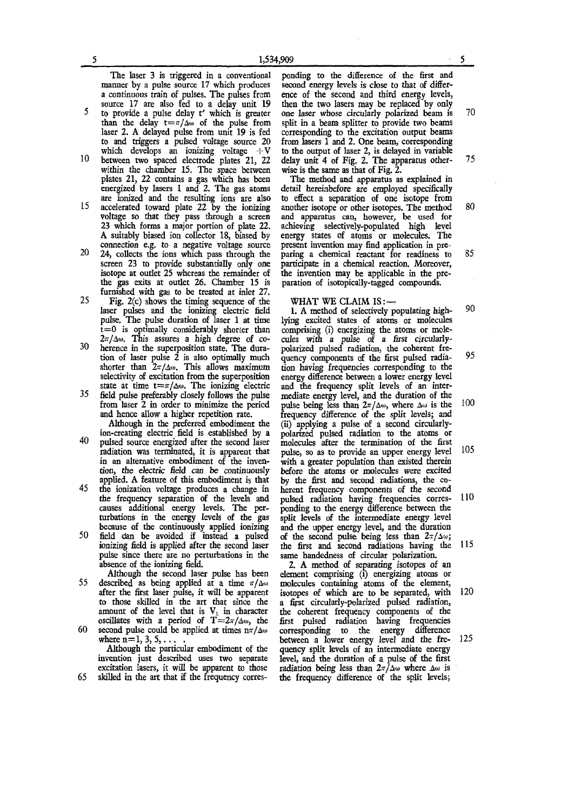The laser 3 is triggered in a conventional manner by a pulse source 17 which produces a continuous train of pulses. The pulses from source 17 are also fed to a delay unit 19 5 to provide a pulse delay t' which is greater

than the delay  $t = \pi/\Delta\omega$  of the pulse from laser 2. A delayed pulse from unit 19 is fed to and triggers a pulsed vokage source 20 which develops an ionizing voltage  $+V$ 10 between two spaced electrode plates 21, 22

- within the chamber 15. The space between plates 21, 22 contains a gas which has been energized by lasers 1 and 2. The gas atoms are ionized and the resulting ions are also 15 accelerated toward plate 22 by the ionizing
- voltage so that they pass through a screen 23 which forms a major portion of plate 22. A suitably biased ion collector 18, biased by connection e.g. to a negative voltage source
- 20 24, collects the ions which pass through the screen 23 to provide substantially only one isotope at outlet 25 whereas the remainder of the gas exits at outlet 26. Chamber 15 is furnished with gas to be treated at inlet 27.
- 25 Fig. 2(c) shows the timing sequence of the laser pulses and the ionizing electric field pulse. The pulse duration of laser 1 at time  $t = 0$  is optimally considerably shorter than 2,**T/**A**'M**. This assures a high degree of co-
- 2"/4". I un avoluto a man argue of totion of laser pulse 2 is also optimally much shorter than  $2\pi/\lambda$ . This allows maximum shorter than 24/200, This allows hiaminum selectivity of excitation from the superposition state at time  $t = \pi/\Delta \omega$ . The ionizing electric  $35 - 6.11$  mile pulse preferably closely follows the pulse
- from laser 2 in order to minimize the pericd from laser 2 in order to minimize the period and hence allow a higher repetition rate. Although in the preferred embodiment the
- ion-creating electric field is established by a 40 pulsed source energized after the second laser radiation was terminated, it is apparent that in an alternative embodiment of the invention, the electric field can be *continuously*  applied. A feature of this embodiment is that
- 45 the ionization voltage produces a change in the frequency separation of the levels and causes additional energy levels. The perturbations in the energy levels of the gas because of the continuously applied ionizing
- 50 field dan be avoided if instead a pulsed ionizing field is applied after the second laser pulse since there are no perturbations in the absence of the ionizing field.

Although the second laser pulse has been 55 described as being applied at a time  $\pi/\Delta\omega$ after the first laser pulse, it will be apparent to those skilled in the art that since the amount of the level that is  $V_1$  in character oscillates with a period of  $T = 2\pi/\Delta w$ , the 60 second pulse could be applied at times  $n\pi/\Delta\omega$ 

where  $n=1, 3, 5, \ldots$ Although the particular embodiment of the invention just described uses two separate excitation lasers, it will be apparent to those

65 skilled in the art that if the frequency corres-

ponding to the difference of the first and second energy levels is close to that of difference of the second and third energy levels, then the two lasers may be replaced by only one laser whose circularly polarized beam is **70**  split in a beam splitter to provide two beams corresponding to the excitation output beams from lasers 1 and **2.** One beam, corresponding to the output of laser 2, is delayed in variable delay unit 4 of Fig. **2.** The apparatus other- **75**  wise is the same as that of Fig. **2.** 

The method and apparatus as explained in detail hereinbefore are employed specifically to effect a separation of one isotope from another isotope or other isotopes. The method 80 and apparatus can, however, be used for achieving selectively-populated high level energy states of atoms or molecules. The present invention may find application in preparing a chemical reactant for readiness to 85 participate in a chemical reaction. Moreover, the invention may be applicable in the preparation of isotopically-tagged compounds.

WHAT WE CLAIM IS:-

1. A method of selectively populating high- 90 lying excited states of atoms or molecules comprising (i) energizing the atoms or molecules with a pulse *of* a first circularlypolarized pulsed radiation, the coherent frequency components of the first pulsed radia- 95 tion having frequencies corresponding to the energy difference between a lower energy level and the frequency split levels of an intermediate energy level, and the duration of the pulse being less than  $2\pi/\Delta\omega$ , where  $\Delta\omega$  is the 100 frequency difference of the split levels; and (ii) applying a pulse of a second circularlypolarized pulsed radiation to the atoms or molecules after the termination of the first pulse, so as to provide an upper energy level **105**  with a greater population than existed therein before the atoms or molecules were excited by the first and second radiations, the coherent frequency components of the second pulsed radiation having frequencies corres- 110 ponding to the energy difference between the split levels of the intermediate energy level and the upper energy level, and the duration of the second pulse being less than  $2\pi/\Delta\omega$ ; the first and second radiations having the **115**  same handedness of circular polarization.

**2.** A method of separating isotopes of an element comprising (i) energizing atoms or molecules containing atoms of the element, isotopes of which are to be separated, with 120 a fipst circularly-polarized pulsed radiation, the coherent frequency components of the first pulsed radiation having frequencies corresponding to the energy difference between a lower energy level and the fre- **125**  quency split levels of an intermediate energy level, and the duration of a pulse of the first radiation being less than  $2\pi/\Delta\omega$  where  $\Delta\omega$  is the frequency difference of the split levels;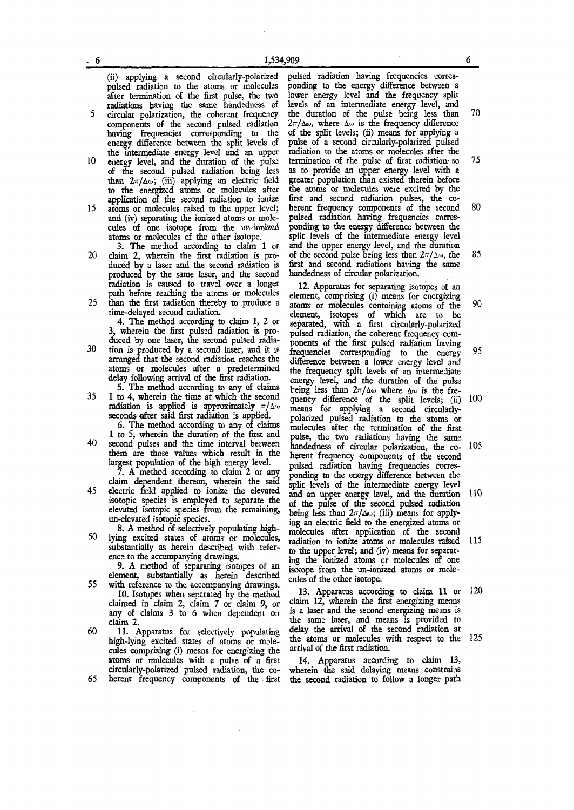(ii) applying a second circularly-polarized pulsed radiation to the atoms or molecules after termination of the first pulse, the two radiations having the same handedness of 5 circular polarization, the coherent frequency

components of the second pulsed radiation having frequencies corresponding to the energy difference between die split levels of the intermediate energy level and an upper

- 10 energy level, and the duration of the pulse of the second pulsed radiation being less than  $2\pi/\Delta\omega$ ; (iii) applying an electric field to the energized atoms or molecules after application of the second radiation to ionize 15 atoms or molecules raised to the upper level; and (iv) separating the ionized atoms or molecules of one isotope from the un-ionized
	- atoms or molecules of the other isotope. 3. The method according to claim 1 or
- 20 claim 2, wherein the first radiation is produced by a laser and the second radiation is produced by the same laser, and the second radiation is caused to travel over a longer path before reaching the atoms or molecules 25 than the first radiation thereby to produce a
- time-delayed second radiation.

4. The method according to claim 1, 2 or 3, wherein the first pulsed radiation is produced by one laser, the second pulsed radia-30 tion is produced by a second laser, and it is arranged that the second radiation reaches the atoms or molecules after a predetermined delay following arrival of the first radiation.

5. The method according to any of claims 35 1 to 4, wherein the time at which the second radiation is applied is approximately  $\pi/\Delta\omega$ seconds efter said first radiation is applied.

6. The method according to any of claims 1 to 5, wherein the duration of the first and 40 second pulses and the time interval between

them are those values which result in the largest population of the high energy level.

7. A method according to claim 2 or any claim dependent thereon, wherein the said

45 electric field applied to ionize the elevated isotopic species is employed to separate the elevated isotopic species from the remaining, un-elevated isotopic species.

8. A method of selectively populating high-50 lying excited states of atoms or molecules, substantially as herein described with reference to the accompanying drawings.

9. A method of separating isotopes of an element, substantially as herein described

55 with reference to the accompanying drawings. 10. Isotopes when separated by the method claimed in claim 2, claim 7 or claim 9, or any of claims 3 to 6 when dependent on claim 2.

60 11. Apparatus for selectively populating high-lying excited states of atoms or molecules comprising (i) means for energizing the atoms or molecules with a pulse of a first circularly-polarized pulsed radiation, the co-65 herent frequency components of the first

pulsed radiation having frequencies corresponding to the energy difference between a lower energy level and the frequency split levels of an intermediate energy level, and the duration of the pulse being less than 70  $2\pi/\Delta\omega$ , where  $\Delta\omega$  is the frequency difference of the split levels; (ii) means for applying a pulse of a second circularly-polarized pulsed radiation to the atoms or molecules after the termination of the pulse of first radiation- so 75 as to provide an upper energy level with a greater population than existed therein before the atoms or molecules were excited by the first and second radiation pulses, the coherent frequency components of the second 80 pulsed radiation having frequencies corresponding to the energy difference between the split levels of the intermediate energy level and the upper energy level, and the duration of the second pulse being less than  $2\pi/\Delta\omega$ , the 85 first and second radiations having the same handedness of circular polarization.

12. Apparatus for separating isotopes of an element, comprising (i) means for energizing atoms or molecules containing atoms of the 90 element, isotopes of which are to be separated, with a first circularly-polarized pulsed radiation, the coherent frequency components of the first pulsed radiation having frequencies corresponding to the energy 95 difference between a lower energy level and the frequency split levels of an intermediate energy level, and the duration of the pulse being less than  $2\pi/\Delta\omega$  where  $\Delta\omega$  is the frequency difference of the split levels; (ii) 100 means for applying a second circularlypolarized pulsed radiation to the atoms or molecules after the termination of the first pulse, the two radiations having the same handedness of circular polarization, die co- 105 herent frequency components of the second pulsed radiation having frequencies corresponding to the energy difference between the split levels of the intermediate energy level and an upper energy level, and the duration 110 of the pulse of the second pulsed radiation being less than  $2\pi/\Delta\omega$ ; (iii) means for applying an electric field to the energized atoms or molecules after application of the second radiation to ionize atoms or molecules raised 115 to the upper level; and (iv) means for separating the ionized atoms or molecules of one isotope from the un-ionized atoms or molecules of the other isotope,

13. Apparatus according to claim 11 or 120 claim 12, wherein the first energizing means is a laser and the second energizing means is the same laser, and means is provided to delay the arrival of the second radiation at the atoms or molecules with respect to the 125 arrival of the first radiation.

14. Apparatus according to claim 13, wherein the said delaying means constrains the second radiation to follow a longer path

**5**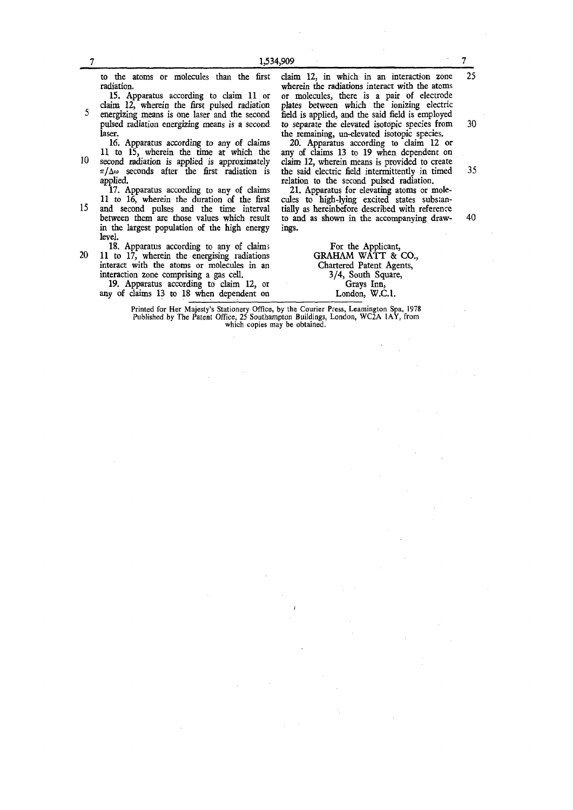|     | 15. Apparatus according to claim 11 or<br>claim 12, wherein the first pulsed radiation<br>energizing means is one laser and the second<br>pulsed radiation energizing means is a second                                                    | or molecules, there is a pair of electrode<br>plates between which the ionizing electric<br>field is applied, and the said field is employed<br>to separate the elevated isotopic species from                                                                                     | 30 |
|-----|--------------------------------------------------------------------------------------------------------------------------------------------------------------------------------------------------------------------------------------------|------------------------------------------------------------------------------------------------------------------------------------------------------------------------------------------------------------------------------------------------------------------------------------|----|
| 10- | laser.<br>16. Apparatus according to any of claims<br>11 to 15, wherein the time at which the<br>second radiation is applied is approximately<br>$\pi/\Delta\omega$ seconds after the first radiation is<br>applied.                       | the remaining, un-elevated isotopic species.<br>20. Apparatus according to claim 12 or<br>any of claims 13 to 19 when dependent on<br>claim 12, wherein means is provided to create<br>the said electric field intermittently in timed<br>relation to the second pulsed radiation. | 35 |
| 15  | 17. Apparatus according to any of claims<br>11 to 16, wherein the duration of the first<br>and second pulses and the time interval<br>between them are those values which result<br>in the largest population of the high energy<br>level. | 21. Apparatus for elevating atoms or mole-<br>cules to high-lying excited states substan-<br>tially as hereinbefore described with reference<br>to and as shown in the accompanying draw-<br>ings.                                                                                 | 40 |
| 20. | 18. Apparatus according to any of claims<br>11 to 17, wherein the energising radiations<br>interact with the atoms or molecules in an<br>interaction zone comprising a gas cell.                                                           | For the Applicant,<br><b>GRAHAM WATT &amp; CO.,</b><br>Chartered Patent Agents,<br>3/4, South Square,                                                                                                                                                                              |    |

19. Apparatus according to claim 12, or any of claims 13 to 18 when dependent on

to the atoms or molecules than the first

3/4, South Square, Grays Inn, London, W.C.I.

wherein the radiations interact with the atoms

**Printed for Her Majesty's Stationery Office, by the Courier Press, Leamington Spa, 1978 Published by The Patent Office, 25 Southampton Buildings, London, WC2A 1AY, from which copies may be obtained.** 

radiation.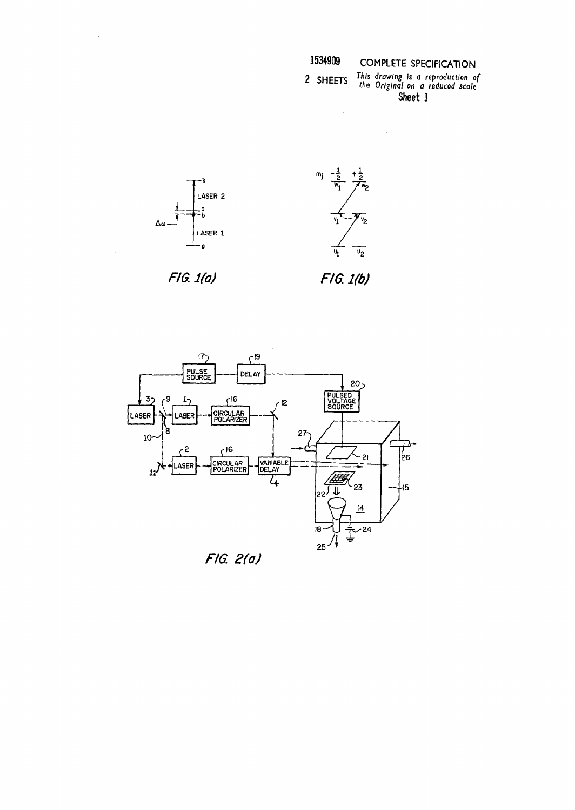| 534909 | COMP |
|--------|------|
|--------|------|

 $\sim$   $\sim$ 

# **I534909 COMPLETE SPECIFICATION**

**ng is a re**  *7 al on a r*  **Sheet 1 2** SHFFTS *^Is drawing Is* **a** *reproduction of c 13 the Original on a reduced scale* 



 $\mathcal{A}^{\mathcal{A}}$